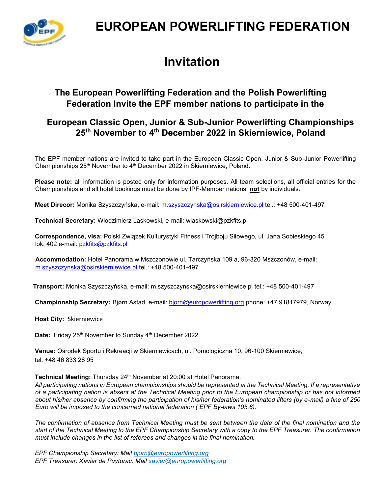

## **EUROPEAN POWERLIFTING FEDERATION**

# **Invitation**

## **The European Powerlifting Federation and the Polish Powerlifting Federation Invite the EPF member nations to participate in the**

## **European Classic Open, Junior & Sub-Junior Powerlifting Championships 25th November to 4 th December 2022 in Skierniewice, Poland**

The EPF member nations are invited to take part in the European Classic Open, Junior & Sub-Junior Powerlifting Championships 25<sup>th</sup> November to 4<sup>th</sup> December 2022 in Skierniewice, Poland.

**Please note:** all information is posted only for information purposes. All team selections, all official entries for the Championships and all hotel bookings must be done by IPF-Member nations, **not** by individuals.

**Meet Direcor:** Monika Szyszczyńska, e-mail: [m.szyszczynska@osirskierniewice.pl](mailto:m.szyszczynska@osirskierniewice.pl) tel.: +48 500-401-497

**Technical Secretary:** Włodzimierz Laskowski, e-mail: wlaskowski@pzkfits.pl

**Correspondence, visa:** Polski Związek Kulturystyki Fitness i Trójboju Siłowego, ul. Jana Sobieskiego 45 lok. 402 e-mail: [pzkfits@pzkfits.pl](mailto:pzkfits@pzkfits.pl)

**Accommodation:** Hotel Panorama w Mszczonowie ul. Tarczyńska 109 a, 96-320 Mszczonów, e-mail: [m.szyszczynska@osirskierniewice.pl](mailto:m.szyszczynska@osirskierniewice.pl) tel.: +48 500-401-497

**Transport:** Monika Szyszczyńska, e-mail: m.szyszczynska@osirskierniewice.pl tel.: +48 500-401-497

**Championship Secretary:** Bjørn Astad, e-mail: bjorn@europowerlifting.org phone: +47 91817979, Norway

**Host City:** Skierniewice

**Date:** Friday 25<sup>th</sup> November to Sunday 4<sup>th</sup> December 2022

**Venue:** Ośrodek Sportu i Rekreacji w Skierniewicach, ul. Pomologiczna 10, 96-100 Skierniewice, tel: +48 46 833 28 95

Technical Meeting: Thursday 24<sup>th</sup> November at 20:00 at Hotel Panorama.

*All participating nations in European championships should be represented at the Technical Meeting. If a representative of a participating nation is absent at the Technical Meeting prior to the European championship or has not informed about his/her absence by confirming the participation of his/her federation's nominated lifters (by e-mail) a fine of 250 Euro will be imposed to the concerned national federation ( EPF By-laws 105.6).* 

*The confirmation of absence from Technical Meeting must be sent between the date of the final nomination and the start of the Technical Meeting to the EPF Championship Secretary with a copy to the EPF Treasurer. The confirmation must include changes in the list of referees and changes in the final nomination.* 

*EPF Championship Secretary: Mail [bjorn@europowerlifting.org](mailto:bjorn@europowerlifting.org) EPF Treasurer: Xavier de Puytorac: Mail [xavier@europowerlifting.org](mailto:xavier@europowerlifting.org)*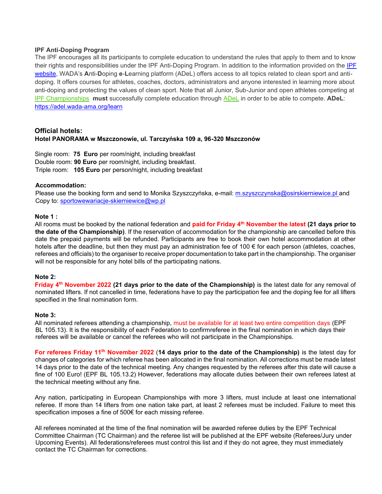#### **IPF Anti-Doping Program**

The IPF encourages all its participants to complete education to understand the rules that apply to them and to know their rights and responsibilities under the IPF Anti-Doping Program. In addition to the information provided on the [IPF](https://www.powerlifting.sport/anti-doping/education)  [website](https://www.powerlifting.sport/anti-doping/education), WADA's **A**nti-**D**oping **e**-**L**earning platform (ADeL) offers access to all topics related to clean sport and antidoping. It offers courses for athletes, coaches, doctors, administrators and anyone interested in learning more about anti-doping and protecting the values of clean sport. Note that all Junior, Sub-Junior and open athletes competing at [IPF Championships](https://www.powerlifting.sport/championships/calendar) **must** successfully complete education through [ADeL](https://adel.wada-ama.org/en) in order to be able to compete. **ADeL**: <https://adel.wada-ama.org/learn>

#### **Official hotels: Hotel PANORAMA w Mszczonowie, ul. Tarczyńska 109 a, 96-320 Mszczonów**

Single room: **75 Euro** per room/night, including breakfast Double room: **90 Euro** per room/night, including breakfast. Triple room: **105 Euro** per person/night, including breakfast

#### **Accommodation:**

Please use the booking form and send to Monika Szyszczyńska, e-mail: [m.szyszczynska@osirskierniewice.pl](mailto:m.szyszczynska@osirskierniewice.pl) and Copy to: [sportowewariacje-skierniewice@wp.pl](mailto:sportowewariacje-skierniewice@wp.pl)

#### **Note 1 :**

All rooms must be booked by the national federation and **paid for Friday 4 th November the latest (21 days prior to the date of the Championship)**. If the reservation of accommodation for the championship are cancelled before this date the prepaid payments will be refunded. Participants are free to book their own hotel accommodation at other hotels after the deadline, but then they must pay an administration fee of 100 € for each person (athletes, coaches, referees and officials) to the organiser to receive proper documentation to take part in the championship. The organiser will not be responsible for any hotel bills of the participating nations.

#### **Note 2:**

**Friday 4<sup>th</sup> November 2022 (21 days prior to the date of the Championship) is the latest date for any removal of** nominated lifters. If not cancelled in time, federations have to pay the participation fee and the doping fee for all lifters specified in the final nomination form.

#### **Note 3:**

All nominated referees attending a championship, must be available for at least two entire competition days (EPF BL 105.13). It is the responsibility of each Federation to confirmreferee in the final nomination in which days their referees will be available or cancel the referees who will not participate in the Championships.

**For referees Friday 11th November 2022** (**14 days prior to the date of the Championship)** is the latest day for changes of categories for which referee has been allocated in the final nomination. All corrections must be made latest 14 days prior to the date of the technical meeting. Any changes requested by the referees after this date will cause a fine of 100 Euro! (EPF BL 105.13.2) However, federations may allocate duties between their own referees latest at the technical meeting without any fine.

Any nation, participating in European Championships with more 3 lifters, must include at least one international referee. If more than 14 lifters from one nation take part, at least 2 referees must be included. Failure to meet this specification imposes a fine of 500€ for each missing referee.

All referees nominated at the time of the final nomination will be awarded referee duties by the EPF Technical Committee Chairman (TC Chairman) and the referee list will be published at the EPF website (Referees/Jury under Upcoming Events). All federations/referees must control this list and if they do not agree, they must immediately contact the TC Chairman for corrections.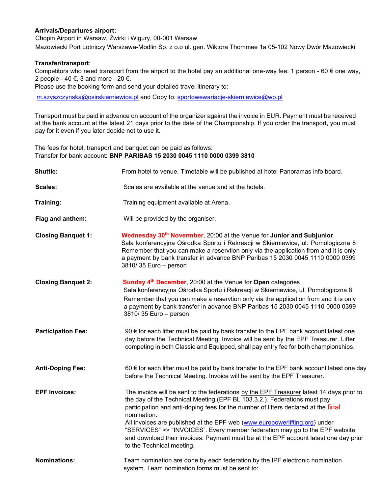#### **Arrivals/Departures airport:**

Chopin Airport in Warsaw, Żwirki i Wigury, 00-001 Warsaw

Mazowiecki Port Lotniczy Warszawa-Modlin Sp. z o.o ul. gen. Wiktora Thommee 1a 05-102 Nowy Dwór Mazowiecki

#### **Transfer/transport**:

Competitors who need transport from the airport to the hotel pay an additional one-way fee: 1 person - 60  $\epsilon$  one way, 2 people - 40 €, 3 and more - 20 €.

Please use the booking form and send your detailed travel itinerary to:

[m.szyszczynska@osirskierniewice.pl](mailto:m.szyszczynska@osirskierniewice.pl) and Copy to: [sportowewariacje-skierniewice@wp.pl](mailto:sportowewariacje-skierniewice@wp.pl)

Transport must be paid in advance on account of the organizer against the invoice in EUR. Payment must be received at the bank account at the latest 21 days prior to the date of the Championship. If you order the transport, you must pay for it even if you later decide not to use it.

The fees for hotel, transport and banquet can be paid as follows: Transfer for bank account: **BNP PARIBAS 15 2030 0045 1110 0000 0399 3810**

| <b>Shuttle:</b>           | From hotel to venue. Timetable will be published at hotel Panoramas info board.                                                                                                                                                                                                                                                                                                                                                                                                                                                                             |  |  |  |  |
|---------------------------|-------------------------------------------------------------------------------------------------------------------------------------------------------------------------------------------------------------------------------------------------------------------------------------------------------------------------------------------------------------------------------------------------------------------------------------------------------------------------------------------------------------------------------------------------------------|--|--|--|--|
| Scales:                   | Scales are available at the venue and at the hotels.                                                                                                                                                                                                                                                                                                                                                                                                                                                                                                        |  |  |  |  |
| Training:                 | Training equipment available at Arena.                                                                                                                                                                                                                                                                                                                                                                                                                                                                                                                      |  |  |  |  |
| Flag and anthem:          | Will be provided by the organiser.                                                                                                                                                                                                                                                                                                                                                                                                                                                                                                                          |  |  |  |  |
| <b>Closing Banquet 1:</b> | Wednesday 30 <sup>th</sup> Novermber, 20:00 at the Venue for Junior and Subjunior.<br>Sala konferencyjna Ośrodka Sportu i Rekreacji w Skierniewice, ul. Pomologiczna 8<br>Remember that you can make a reservtion only via the application from and it is only<br>a payment by bank transfer in advance BNP Paribas 15 2030 0045 1110 0000 0399<br>3810/35 Euro - person                                                                                                                                                                                    |  |  |  |  |
| <b>Closing Banquet 2:</b> | Sunday 4 <sup>th</sup> December, 20:00 at the Venue for Open categories<br>Sala konferencyjna Ośrodka Sportu i Rekreacji w Skierniewice, ul. Pomologiczna 8<br>Remember that you can make a reservtion only via the application from and it is only<br>a payment by bank transfer in advance BNP Paribas 15 2030 0045 1110 0000 0399<br>3810/35 Euro - person                                                                                                                                                                                               |  |  |  |  |
| <b>Participation Fee:</b> | 90 € for each lifter must be paid by bank transfer to the EPF bank account latest one<br>day before the Technical Meeting. Invoice will be sent by the EPF Treasurer. Lifter<br>competing in both Classic and Equipped, shall pay entry fee for both championships.                                                                                                                                                                                                                                                                                         |  |  |  |  |
| <b>Anti-Doping Fee:</b>   | 60 € for each lifter must be paid by bank transfer to the EPF bank account latest one day<br>before the Technical Meeting. Invoice will be sent by the EPF Treasurer.                                                                                                                                                                                                                                                                                                                                                                                       |  |  |  |  |
| <b>EPF Invoices:</b>      | The invoice will be sent to the federations by the EPF Treasurer latest 14 days prior to<br>the day of the Technical Meeting (EPF BL 103.3.2.). Federations must pay<br>participation and anti-doping fees for the number of lifters declared at the final<br>nomination.<br>All invoices are published at the EPF web (www.europowerlifting.org) under<br>"SERVICES" >> "INVOICES". Every member federation may go to the EPF website<br>and download their invoices. Payment must be at the EPF account latest one day prior<br>to the Technical meeting. |  |  |  |  |
| <b>Nominations:</b>       | Team nomination are done by each federation by the IPF electronic nomination<br>system. Team nomination forms must be sent to:                                                                                                                                                                                                                                                                                                                                                                                                                              |  |  |  |  |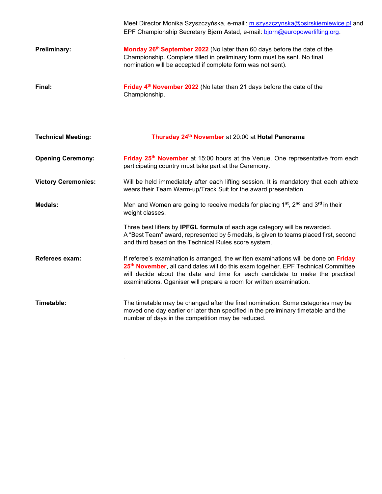|                            | Meet Director Monika Szyszczyńska, e-maill: m.szyszczynska@osirskierniewice.pl and<br>EPF Championship Secretary Bjørn Astad, e-mail: bjorn@europowerlifting.org.                                                                                                                                                                             |
|----------------------------|-----------------------------------------------------------------------------------------------------------------------------------------------------------------------------------------------------------------------------------------------------------------------------------------------------------------------------------------------|
| Preliminary:               | Monday 26th September 2022 (No later than 60 days before the date of the<br>Championship. Complete filled in preliminary form must be sent. No final<br>nomination will be accepted if complete form was not sent).                                                                                                                           |
| Final:                     | Friday 4 <sup>th</sup> November 2022 (No later than 21 days before the date of the<br>Championship.                                                                                                                                                                                                                                           |
| <b>Technical Meeting:</b>  | Thursday 24 <sup>th</sup> November at 20:00 at Hotel Panorama                                                                                                                                                                                                                                                                                 |
| <b>Opening Ceremony:</b>   | Friday 25 <sup>th</sup> November at 15:00 hours at the Venue. One representative from each<br>participating country must take part at the Ceremony.                                                                                                                                                                                           |
| <b>Victory Ceremonies:</b> | Will be held immediately after each lifting session. It is mandatory that each athlete<br>wears their Team Warm-up/Track Suit for the award presentation.                                                                                                                                                                                     |
| <b>Medals:</b>             | Men and Women are going to receive medals for placing 1 <sup>st</sup> , 2 <sup>nd</sup> and 3 <sup>rd</sup> in their<br>weight classes.                                                                                                                                                                                                       |
|                            | Three best lifters by IPFGL formula of each age category will be rewarded.<br>A "Best Team" award, represented by 5 medals, is given to teams placed first, second<br>and third based on the Technical Rules score system.                                                                                                                    |
| Referees exam:             | If referee's examination is arranged, the written examinations will be done on Friday<br>25 <sup>th</sup> November, all candidates will do this exam together. EPF Technical Committee<br>will decide about the date and time for each candidate to make the practical<br>examinations. Oganiser will prepare a room for written examination. |
| Timetable:                 | The timetable may be changed after the final nomination. Some categories may be<br>moved one day earlier or later than specified in the preliminary timetable and the<br>number of days in the competition may be reduced.                                                                                                                    |

.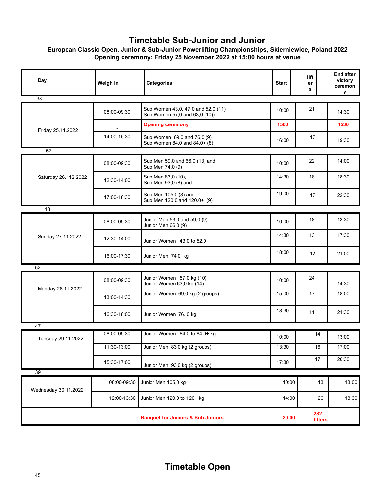## **Timetable Sub-Junior and Junior**

### **European Classic Open, Junior & Sub-Junior Powerlifting Championships, Skierniewice, Poland 2022 Opening ceremony: Friday 25 November 2022 at 15:00 hours at venue**

| Day                                          | Weigh in    | Categories                                                          | <b>Start</b> | lift<br>er<br>s | <b>End after</b><br>victory<br>ceremon<br>V |
|----------------------------------------------|-------------|---------------------------------------------------------------------|--------------|-----------------|---------------------------------------------|
| 38                                           |             |                                                                     |              |                 |                                             |
| Friday 25.11.2022                            | 08:00-09:30 | Sub Women 43,0, 47,0 and 52,0 (11)<br>Sub Women 57,0 and 63,0 (10)) | 10:00        | 21              | 14:30                                       |
|                                              |             | <b>Opening ceremony</b>                                             | 1500         |                 | 1530                                        |
|                                              | 14:00-15:30 | Sub Women 69,0 and 76,0 (9)<br>Sub Women 84,0 and 84,0+ (8)         | 16:00        | 17              | 19:30                                       |
| 57                                           |             |                                                                     |              |                 |                                             |
| Saturday 26.112.2022                         | 08:00-09:30 | Sub Men 59,0 and 66,0 (13) and<br>Sub Men 74,0 (9)                  | 10:00        | 22              | 14:00                                       |
|                                              | 12:30-14:00 | Sub Men 83,0 (10),<br>Sub Men 93,0 (8) and                          | 14:30        | 18              | 18:30                                       |
|                                              | 17:00-18:30 | Sub Men 105.0 (8) and<br>Sub Men 120,0 and 120.0+ (9)               | 19:00        | 17              | 22:30                                       |
| 43                                           |             |                                                                     |              |                 |                                             |
| Sunday 27.11.2022                            | 08:00-09:30 | Junior Men 53,0 and 59,0 (9)<br>Junior Men 66,0 (9)                 | 10:00        | 18              | 13:30                                       |
|                                              | 12:30-14:00 | Junior Women 43,0 to 52,0                                           | 14:30        | 13              | 17:30                                       |
|                                              | 16:00-17:30 | Junior Men 74,0 kg                                                  | 18:00        | 12              | 21:00                                       |
| 52                                           |             |                                                                     |              |                 |                                             |
| Monday 28.11.2022                            | 08:00-09:30 | Junior Women 57,0 kg (10)<br>Junior Women 63,0 kg (14)              | 10:00        | 24              | 14:30                                       |
|                                              | 13:00-14:30 | Junior Women 69,0 kg (2 groups)                                     | 15:00        | 17              | 18:00                                       |
|                                              | 16:30-18:00 | Junior Women 76, 0 kg                                               | 18:30        | 11              | 21:30                                       |
| 47                                           |             |                                                                     |              |                 |                                             |
| Tuesday 29.11.2022                           | 08:00-09:30 | Junior Women 84,0 to 84,0+ kg                                       | 10:00        | 14              | 13:00                                       |
|                                              | 11:30-13:00 | Junior Men 83,0 kg (2 groups)                                       | 13:30        | $16\,$          | 17:00                                       |
|                                              | 15:30-17:00 | Junior Men 93,0 kg (2 groups)                                       | 17:30        | 17              | 20:30                                       |
| 39                                           |             |                                                                     |              |                 |                                             |
| Wednesday 30.11.2022                         | 08:00-09:30 | Junior Men 105,0 kg                                                 | 10:00        | 13              | 13:00                                       |
|                                              | 12:00-13:30 | Junior Men 120,0 to 120+ kg                                         | 14:00        | 26              | 18:30                                       |
| <b>Banquet for Juniors &amp; Sub-Juniors</b> |             |                                                                     |              | 282<br>lifters  |                                             |